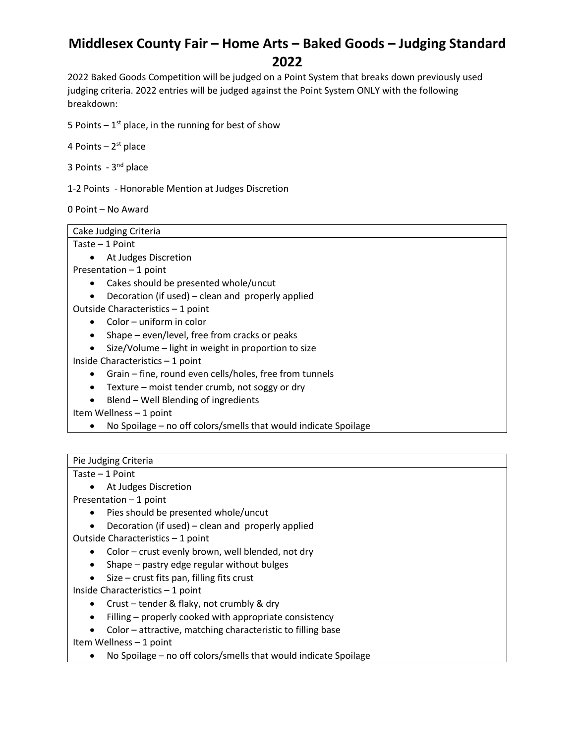2022 Baked Goods Competition will be judged on a Point System that breaks down previously used judging criteria. 2022 entries will be judged against the Point System ONLY with the following breakdown:

5 Points  $-1<sup>st</sup>$  place, in the running for best of show

4 Points – 2<sup>st</sup> place

3 Points - 3<sup>nd</sup> place

1-2 Points - Honorable Mention at Judges Discretion

0 Point – No Award

Cake Judging Criteria

Taste – 1 Point

• At Judges Discretion

Presentation – 1 point

- Cakes should be presented whole/uncut
- Decoration (if used) clean and properly applied
- Outside Characteristics 1 point
	- Color uniform in color
	- Shape even/level, free from cracks or peaks
	- Size/Volume light in weight in proportion to size

Inside Characteristics – 1 point

- Grain fine, round even cells/holes, free from tunnels
- Texture moist tender crumb, not soggy or dry
- Blend Well Blending of ingredients

Item Wellness – 1 point

• No Spoilage – no off colors/smells that would indicate Spoilage

#### Pie Judging Criteria

Taste – 1 Point

• At Judges Discretion

Presentation – 1 point

- Pies should be presented whole/uncut
- Decoration (if used) clean and properly applied

Outside Characteristics – 1 point

- Color crust evenly brown, well blended, not dry
- Shape pastry edge regular without bulges
- Size crust fits pan, filling fits crust

Inside Characteristics – 1 point

- Crust tender & flaky, not crumbly & dry
- Filling properly cooked with appropriate consistency
- Color attractive, matching characteristic to filling base

Item Wellness – 1 point

• No Spoilage – no off colors/smells that would indicate Spoilage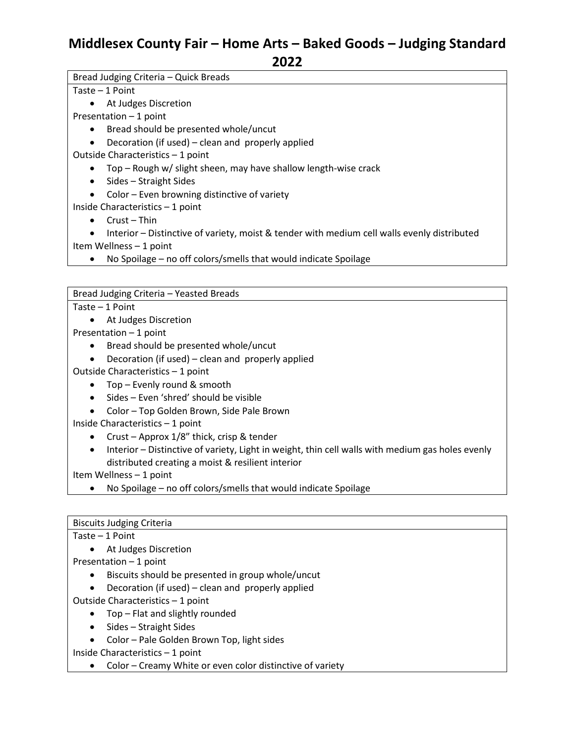Bread Judging Criteria – Quick Breads

Taste – 1 Point

• At Judges Discretion

Presentation – 1 point

- Bread should be presented whole/uncut
- Decoration (if used) clean and properly applied

Outside Characteristics – 1 point

- Top Rough w/ slight sheen, may have shallow length-wise crack
- Sides Straight Sides
- Color Even browning distinctive of variety

Inside Characteristics – 1 point

• Crust – Thin

• Interior – Distinctive of variety, moist & tender with medium cell walls evenly distributed Item Wellness – 1 point

• No Spoilage – no off colors/smells that would indicate Spoilage

Bread Judging Criteria – Yeasted Breads

Taste – 1 Point

• At Judges Discretion

Presentation – 1 point

- Bread should be presented whole/uncut
- Decoration (if used) clean and properly applied

Outside Characteristics – 1 point

- Top Evenly round & smooth
- Sides Even 'shred' should be visible
- Color Top Golden Brown, Side Pale Brown

Inside Characteristics – 1 point

- Crust Approx 1/8" thick, crisp & tender
- Interior Distinctive of variety, Light in weight, thin cell walls with medium gas holes evenly distributed creating a moist & resilient interior

Item Wellness – 1 point

• No Spoilage – no off colors/smells that would indicate Spoilage

### Taste – 1 Point

• At Judges Discretion

Presentation – 1 point

- Biscuits should be presented in group whole/uncut
- Decoration (if used) clean and properly applied
- Outside Characteristics 1 point
	- Top Flat and slightly rounded
	- Sides Straight Sides
	- Color Pale Golden Brown Top, light sides

Inside Characteristics – 1 point

• Color – Creamy White or even color distinctive of variety

Biscuits Judging Criteria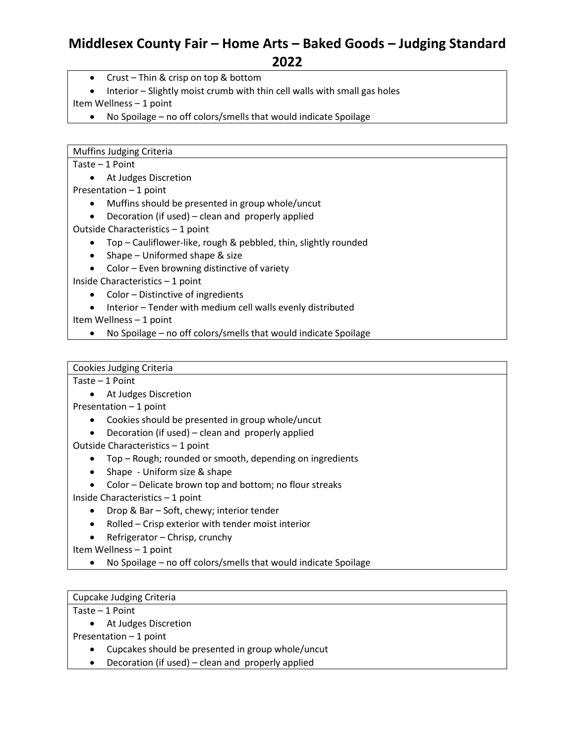**2022**

- Crust Thin & crisp on top & bottom
- Interior Slightly moist crumb with thin cell walls with small gas holes

Item Wellness – 1 point

• No Spoilage – no off colors/smells that would indicate Spoilage

Muffins Judging Criteria

Taste – 1 Point

• At Judges Discretion

Presentation – 1 point

- Muffins should be presented in group whole/uncut
- Decoration (if used) clean and properly applied

Outside Characteristics – 1 point

- Top Cauliflower-like, rough & pebbled, thin, slightly rounded
- Shape Uniformed shape & size
- Color Even browning distinctive of variety

Inside Characteristics – 1 point

- Color Distinctive of ingredients
- Interior Tender with medium cell walls evenly distributed

Item Wellness – 1 point

• No Spoilage – no off colors/smells that would indicate Spoilage

Cookies Judging Criteria

Taste – 1 Point

• At Judges Discretion

Presentation – 1 point

- Cookies should be presented in group whole/uncut
- Decoration (if used) clean and properly applied

Outside Characteristics – 1 point

- Top Rough; rounded or smooth, depending on ingredients
- Shape Uniform size & shape
- Color Delicate brown top and bottom; no flour streaks

Inside Characteristics – 1 point

- Drop & Bar Soft, chewy; interior tender
- Rolled Crisp exterior with tender moist interior
- Refrigerator Chrisp, crunchy

Item Wellness – 1 point

• No Spoilage – no off colors/smells that would indicate Spoilage

#### Cupcake Judging Criteria

Taste – 1 Point

• At Judges Discretion

Presentation – 1 point

- Cupcakes should be presented in group whole/uncut
- Decoration (if used) clean and properly applied